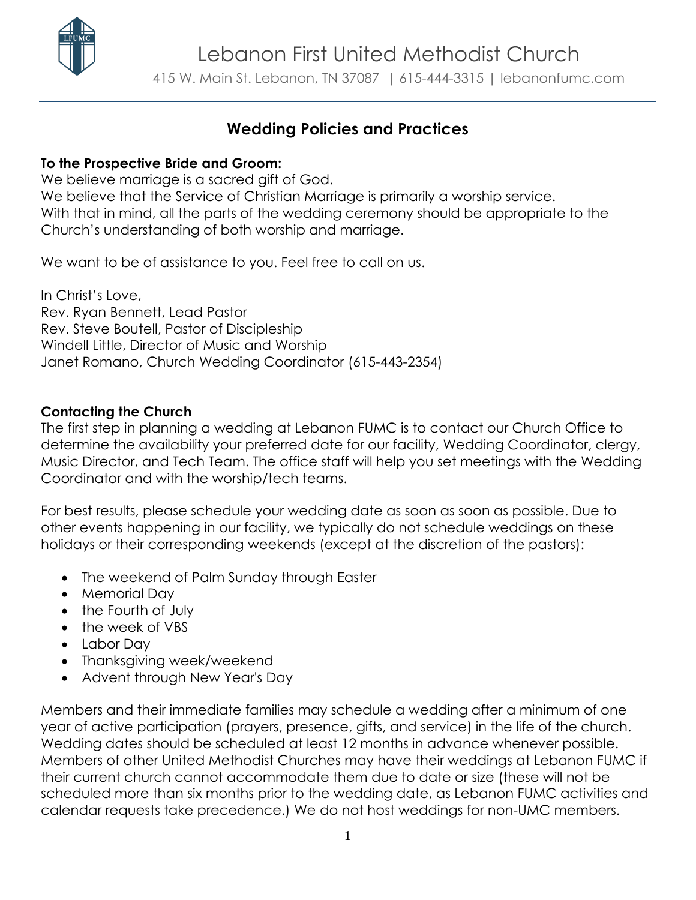

# **Wedding Policies and Practices**

#### **To the Prospective Bride and Groom:**

We believe marriage is a sacred gift of God. We believe that the Service of Christian Marriage is primarily a worship service. With that in mind, all the parts of the wedding ceremony should be appropriate to the Church's understanding of both worship and marriage.

We want to be of assistance to you. Feel free to call on us.

In Christ's Love, Rev. Ryan Bennett, Lead Pastor Rev. Steve Boutell, Pastor of Discipleship Windell Little, Director of Music and Worship Janet Romano, Church Wedding Coordinator (615-443-2354)

## **Contacting the Church**

The first step in planning a wedding at Lebanon FUMC is to contact our Church Office to determine the availability your preferred date for our facility, Wedding Coordinator, clergy, Music Director, and Tech Team. The office staff will help you set meetings with the Wedding Coordinator and with the worship/tech teams.

For best results, please schedule your wedding date as soon as soon as possible. Due to other events happening in our facility, we typically do not schedule weddings on these holidays or their corresponding weekends (except at the discretion of the pastors):

- The weekend of Palm Sunday through Easter
- Memorial Day
- the Fourth of July
- $\bullet$  the week of VBS
- Labor Day
- Thanksgiving week/weekend
- Advent through New Year's Day

Members and their immediate families may schedule a wedding after a minimum of one year of active participation (prayers, presence, gifts, and service) in the life of the church. Wedding dates should be scheduled at least 12 months in advance whenever possible. Members of other United Methodist Churches may have their weddings at Lebanon FUMC if their current church cannot accommodate them due to date or size (these will not be scheduled more than six months prior to the wedding date, as Lebanon FUMC activities and calendar requests take precedence.) We do not host weddings for non-UMC members.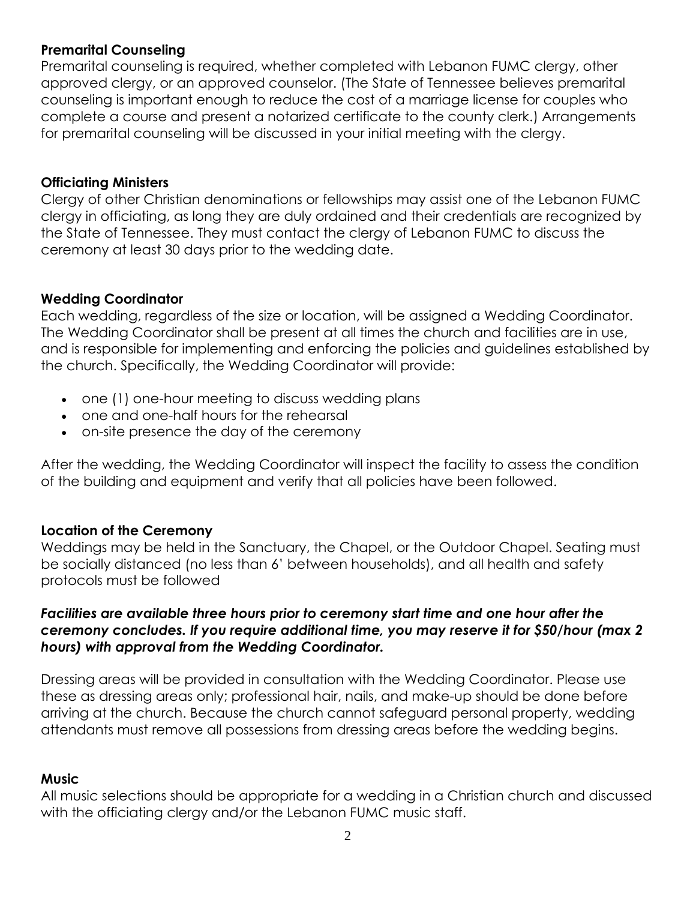## **Premarital Counseling**

Premarital counseling is required, whether completed with Lebanon FUMC clergy, other approved clergy, or an approved counselor. (The State of Tennessee believes premarital counseling is important enough to reduce the cost of a marriage license for couples who complete a course and present a notarized certificate to the county clerk.) Arrangements for premarital counseling will be discussed in your initial meeting with the clergy.

#### **Officiating Ministers**

Clergy of other Christian denominations or fellowships may assist one of the Lebanon FUMC clergy in officiating, as long they are duly ordained and their credentials are recognized by the State of Tennessee. They must contact the clergy of Lebanon FUMC to discuss the ceremony at least 30 days prior to the wedding date.

#### **Wedding Coordinator**

Each wedding, regardless of the size or location, will be assigned a Wedding Coordinator. The Wedding Coordinator shall be present at all times the church and facilities are in use, and is responsible for implementing and enforcing the policies and guidelines established by the church. Specifically, the Wedding Coordinator will provide:

- one (1) one-hour meeting to discuss wedding plans
- one and one-half hours for the rehearsal
- on-site presence the day of the ceremony

After the wedding, the Wedding Coordinator will inspect the facility to assess the condition of the building and equipment and verify that all policies have been followed.

#### **Location of the Ceremony**

Weddings may be held in the Sanctuary, the Chapel, or the Outdoor Chapel. Seating must be socially distanced (no less than 6' between households), and all health and safety protocols must be followed

#### *Facilities are available three hours prior to ceremony start time and one hour after the ceremony concludes. If you require additional time, you may reserve it for \$50/hour (max 2 hours) with approval from the Wedding Coordinator.*

Dressing areas will be provided in consultation with the Wedding Coordinator. Please use these as dressing areas only; professional hair, nails, and make-up should be done before arriving at the church. Because the church cannot safeguard personal property, wedding attendants must remove all possessions from dressing areas before the wedding begins.

#### **Music**

All music selections should be appropriate for a wedding in a Christian church and discussed with the officiating clergy and/or the Lebanon FUMC music staff.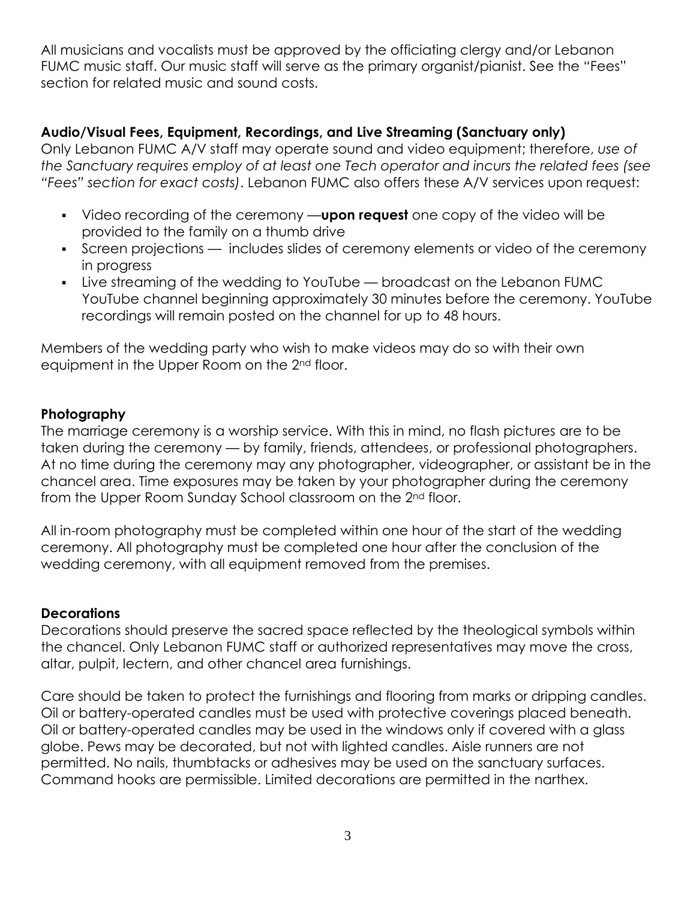All musicians and vocalists must be approved by the officiating clergy and/or Lebanon FUMC music staff. Our music staff will serve as the primary organist/pianist. See the "Fees" section for related music and sound costs.

## **Audio/Visual Fees, Equipment, Recordings, and Live Streaming (Sanctuary only)**

Only Lebanon FUMC A/V staff may operate sound and video equipment; therefore, *use of the Sanctuary requires employ of at least one Tech operator and incurs the related fees (see "Fees" section for exact costs)*. Lebanon FUMC also offers these A/V services upon request:

- Video recording of the ceremony —**upon request** one copy of the video will be provided to the family on a thumb drive
- Screen projections includes slides of ceremony elements or video of the ceremony in progress
- Live streaming of the wedding to YouTube broadcast on the Lebanon FUMC YouTube channel beginning approximately 30 minutes before the ceremony. YouTube recordings will remain posted on the channel for up to 48 hours.

Members of the wedding party who wish to make videos may do so with their own equipment in the Upper Room on the 2<sup>nd</sup> floor.

#### **Photography**

The marriage ceremony is a worship service. With this in mind, no flash pictures are to be taken during the ceremony — by family, friends, attendees, or professional photographers. At no time during the ceremony may any photographer, videographer, or assistant be in the chancel area. Time exposures may be taken by your photographer during the ceremony from the Upper Room Sunday School classroom on the 2nd floor.

All in-room photography must be completed within one hour of the start of the wedding ceremony. All photography must be completed one hour after the conclusion of the wedding ceremony, with all equipment removed from the premises.

#### **Decorations**

Decorations should preserve the sacred space reflected by the theological symbols within the chancel. Only Lebanon FUMC staff or authorized representatives may move the cross, altar, pulpit, lectern, and other chancel area furnishings.

Care should be taken to protect the furnishings and flooring from marks or dripping candles. Oil or battery-operated candles must be used with protective coverings placed beneath. Oil or battery-operated candles may be used in the windows only if covered with a glass globe. Pews may be decorated, but not with lighted candles. Aisle runners are not permitted. No nails, thumbtacks or adhesives may be used on the sanctuary surfaces. Command hooks are permissible. Limited decorations are permitted in the narthex.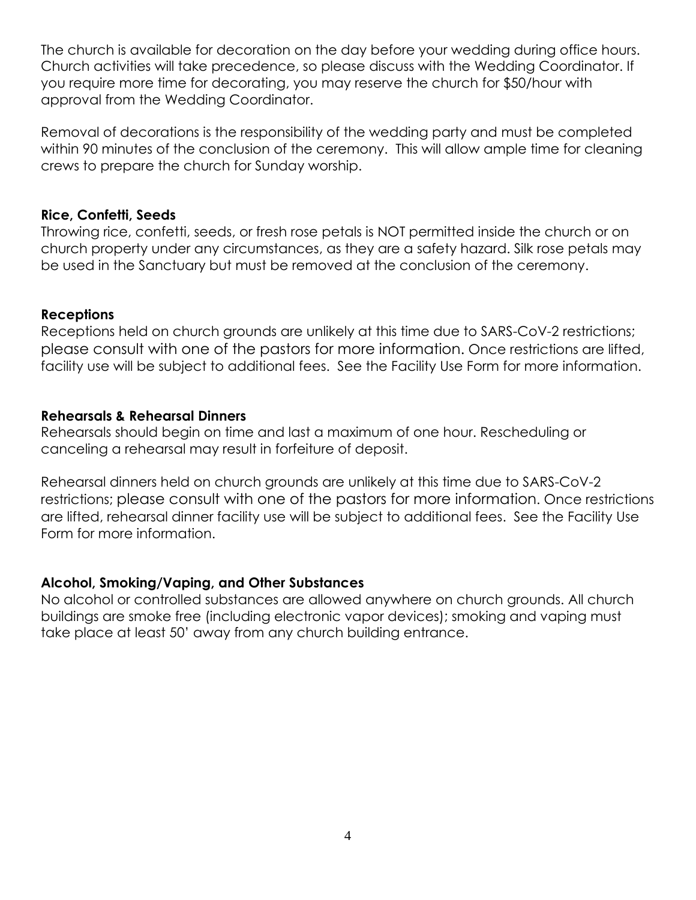The church is available for decoration on the day before your wedding during office hours. Church activities will take precedence, so please discuss with the Wedding Coordinator. If you require more time for decorating, you may reserve the church for \$50/hour with approval from the Wedding Coordinator.

Removal of decorations is the responsibility of the wedding party and must be completed within 90 minutes of the conclusion of the ceremony. This will allow ample time for cleaning crews to prepare the church for Sunday worship.

#### **Rice, Confetti, Seeds**

Throwing rice, confetti, seeds, or fresh rose petals is NOT permitted inside the church or on church property under any circumstances, as they are a safety hazard. Silk rose petals may be used in the Sanctuary but must be removed at the conclusion of the ceremony.

#### **Receptions**

Receptions held on church grounds are unlikely at this time due to SARS-CoV-2 restrictions; please consult with one of the pastors for more information. Once restrictions are lifted, facility use will be subject to additional fees. See the Facility Use Form for more information.

#### **Rehearsals & Rehearsal Dinners**

Rehearsals should begin on time and last a maximum of one hour. Rescheduling or canceling a rehearsal may result in forfeiture of deposit.

Rehearsal dinners held on church grounds are unlikely at this time due to SARS-CoV-2 restrictions; please consult with one of the pastors for more information. Once restrictions are lifted, rehearsal dinner facility use will be subject to additional fees. See the Facility Use Form for more information.

#### **Alcohol, Smoking/Vaping, and Other Substances**

No alcohol or controlled substances are allowed anywhere on church grounds. All church buildings are smoke free (including electronic vapor devices); smoking and vaping must take place at least 50' away from any church building entrance.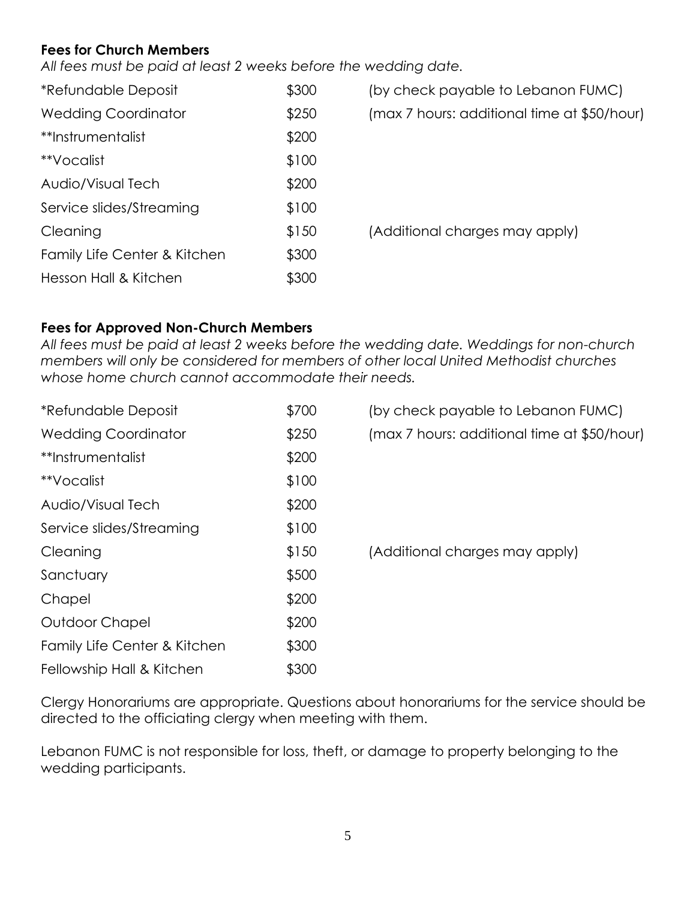## **Fees for Church Members**

*All fees must be paid at least 2 weeks before the wedding date.*

| <i><b>*Refundable Deposit</b></i> | \$300 |
|-----------------------------------|-------|
| <b>Wedding Coordinator</b>        | \$250 |
| **Instrumentalist                 | \$200 |
| **Vocalist                        | \$100 |
| Audio/Visual Tech                 | \$200 |
| Service slides/Streaming          | \$100 |
| Cleaning                          | \$150 |
| Family Life Center & Kitchen      | \$300 |
| Hesson Hall & Kitchen             |       |

(by check payable to Lebanon FUMC) (max 7 hours: additional time at \$50/hour) (Additional charges may apply)

## **Fees for Approved Non-Church Members**

*All fees must be paid at least 2 weeks before the wedding date. Weddings for non-church members will only be considered for members of other local United Methodist churches whose home church cannot accommodate their needs.* 

| <i>*Refundable Deposit</i>   | \$700 | (by check payable to Lebanon FUMC)          |
|------------------------------|-------|---------------------------------------------|
| <b>Wedding Coordinator</b>   | \$250 | (max 7 hours: additional time at \$50/hour) |
| **Instrumentalist            | \$200 |                                             |
| **Vocalist                   | \$100 |                                             |
| Audio/Visual Tech            | \$200 |                                             |
| Service slides/Streaming     | \$100 |                                             |
| Cleaning                     | \$150 | (Additional charges may apply)              |
| Sanctuary                    | \$500 |                                             |
| Chapel                       | \$200 |                                             |
| Outdoor Chapel               | \$200 |                                             |
| Family Life Center & Kitchen | \$300 |                                             |
| Fellowship Hall & Kitchen    | \$300 |                                             |

Clergy Honorariums are appropriate. Questions about honorariums for the service should be directed to the officiating clergy when meeting with them.

Lebanon FUMC is not responsible for loss, theft, or damage to property belonging to the wedding participants.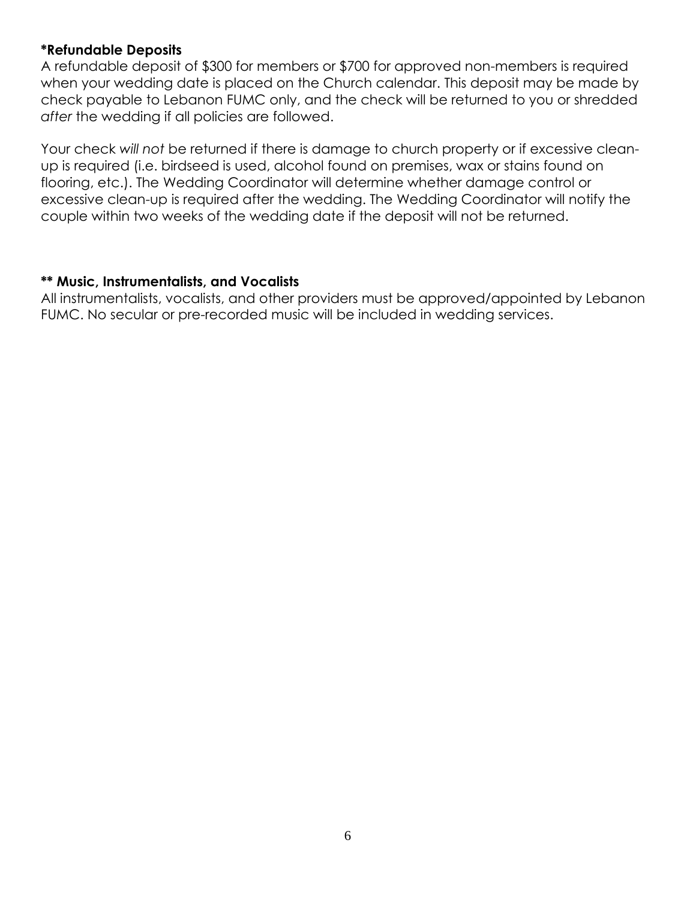#### **\*Refundable Deposits**

A refundable deposit of \$300 for members or \$700 for approved non-members is required when your wedding date is placed on the Church calendar. This deposit may be made by check payable to Lebanon FUMC only, and the check will be returned to you or shredded *after* the wedding if all policies are followed.

Your check *will not* be returned if there is damage to church property or if excessive cleanup is required (i.e. birdseed is used, alcohol found on premises, wax or stains found on flooring, etc.). The Wedding Coordinator will determine whether damage control or excessive clean-up is required after the wedding. The Wedding Coordinator will notify the couple within two weeks of the wedding date if the deposit will not be returned.

#### **\*\* Music, Instrumentalists, and Vocalists**

All instrumentalists, vocalists, and other providers must be approved/appointed by Lebanon FUMC. No secular or pre-recorded music will be included in wedding services.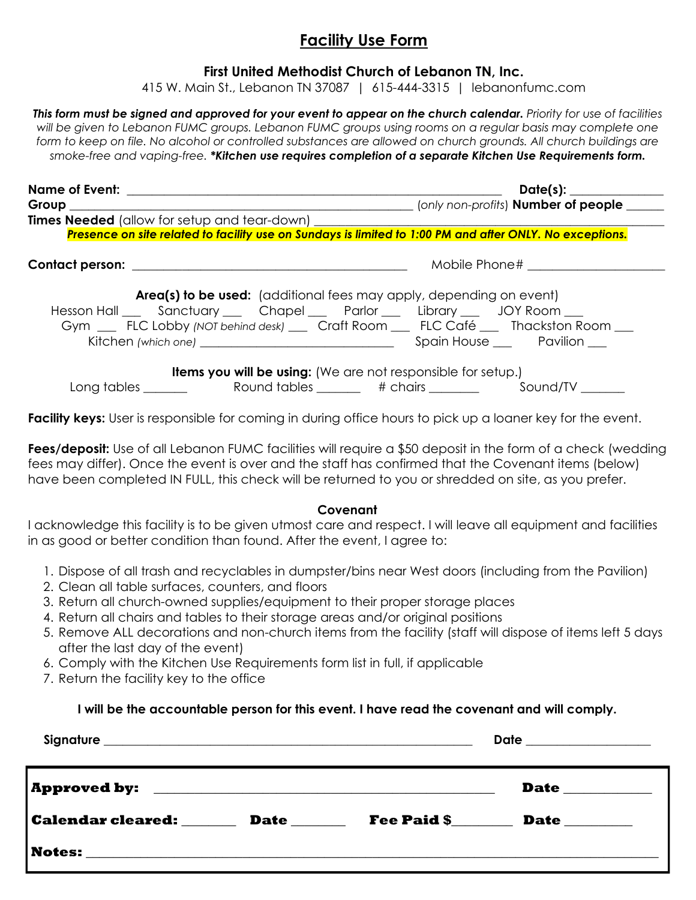# **Facility Use Form**

#### **First United Methodist Church of Lebanon TN, Inc.**

415 W. Main St., Lebanon TN 37087 | 615-444-3315 | lebanonfumc.com

*This form must be signed and approved for your event to appear on the church calendar. Priority for use of facilities will be given to Lebanon FUMC groups. Lebanon FUMC groups using rooms on a regular basis may complete one*  form to keep on file. No alcohol or controlled substances are allowed on church grounds. All church buildings are *smoke-free and vaping-free. \*Kitchen use requires completion of a separate Kitchen Use Requirements form.*

|                                                                              | Date(s): ______________                                                                                                                                           |
|------------------------------------------------------------------------------|-------------------------------------------------------------------------------------------------------------------------------------------------------------------|
| Group __________                                                             | (only non-profits) <b>Number of people</b>                                                                                                                        |
|                                                                              |                                                                                                                                                                   |
|                                                                              | Presence on site related to facility use on Sundays is limited to 1:00 PM and after ONLY. No exceptions.                                                          |
|                                                                              | Mobile Phone# [19]                                                                                                                                                |
| Hesson Hall ___ Sanctuary ___ Chapel ___ Parlor ___ Library ___ JOY Room ___ | Area(s) to be used: (additional fees may apply, depending on event)<br>Gym __ FLC Lobby (NOT behind desk) __ Craft Room __ FLC Café __ Thackston Room __          |
|                                                                              | <b>Items you will be using:</b> (We are not responsible for setup.)<br>Long tables                     Round tables             # chairs                 Sound/TV |

**Facility keys:** User is responsible for coming in during office hours to pick up a loaner key for the event.

Fees/deposit: Use of all Lebanon FUMC facilities will require a \$50 deposit in the form of a check (wedding fees may differ). Once the event is over and the staff has confirmed that the Covenant items (below) have been completed IN FULL, this check will be returned to you or shredded on site, as you prefer.

#### **Covenant**

I acknowledge this facility is to be given utmost care and respect. I will leave all equipment and facilities in as good or better condition than found. After the event, I agree to:

- 1. Dispose of all trash and recyclables in dumpster/bins near West doors (including from the Pavilion)
- 2. Clean all table surfaces, counters, and floors
- 3. Return all church-owned supplies/equipment to their proper storage places
- 4. Return all chairs and tables to their storage areas and/or original positions
- 5. Remove ALL decorations and non-church items from the facility (staff will dispose of items left 5 days after the last day of the event)
- 6. Comply with the Kitchen Use Requirements form list in full, if applicable
- 7. Return the facility key to the office

#### **I will be the accountable person for this event. I have read the covenant and will comply.**

|                          |             |                    | Date _________________ |
|--------------------------|-------------|--------------------|------------------------|
|                          |             |                    | <b>Date</b>            |
| <b>Calendar cleared:</b> | <b>Date</b> | <b>Fee Paid \$</b> | <b>Date</b> ________   |
|                          |             |                    |                        |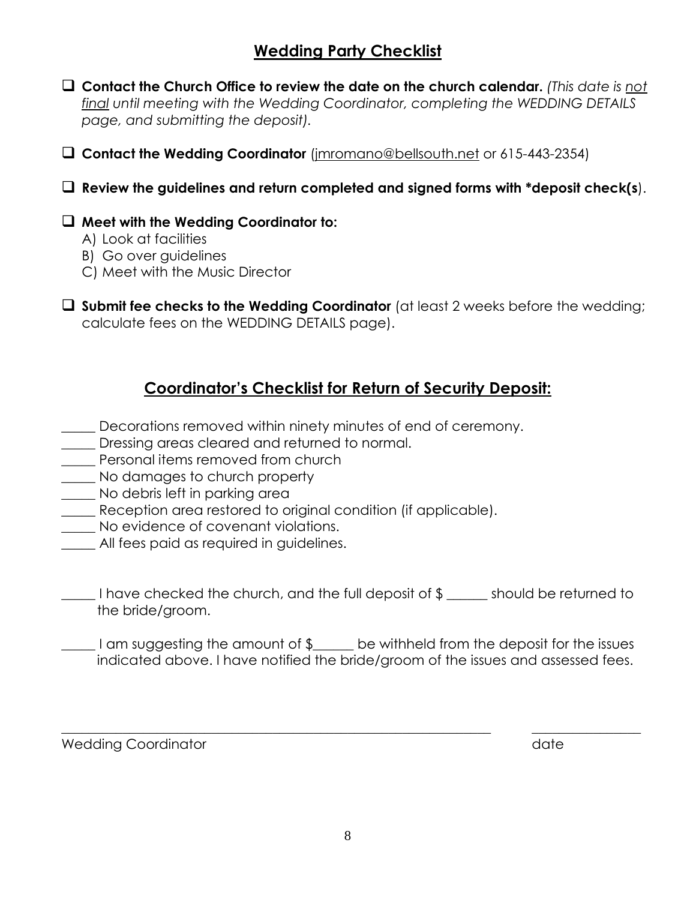# **Wedding Party Checklist**

- **Contact the Church Office to review the date on the church calendar.** *(This date is not final until meeting with the Wedding Coordinator, completing the WEDDING DETAILS page, and submitting the deposit).*
- **Contact the Wedding Coordinator** (jmromano@bellsouth.net or 615-443-2354)

**Review the guidelines and return completed and signed forms with \*deposit check(s**).

## **Meet with the Wedding Coordinator to:**

- A) Look at facilities
- B) Go over guidelines
- C) Meet with the Music Director
- **Submit fee checks to the Wedding Coordinator** (at least 2 weeks before the wedding; calculate fees on the WEDDING DETAILS page).

# **Coordinator's Checklist for Return of Security Deposit:**

- Decorations removed within ninety minutes of end of ceremony.
- \_\_\_\_\_ Dressing areas cleared and returned to normal.
- **Example 12** Personal items removed from church
- \_\_\_\_\_ No damages to church property
- \_\_\_\_\_ No debris left in parking area
- Reception area restored to original condition (if applicable).
- \_\_\_\_\_ No evidence of covenant violations.
- \_\_\_\_\_ All fees paid as required in guidelines.

\_\_\_\_\_ I have checked the church, and the full deposit of \$ \_\_\_\_\_\_ should be returned to the bride/groom.

I am suggesting the amount of \$ Let be withheld from the deposit for the issues indicated above. I have notified the bride/groom of the issues and assessed fees.

\_\_\_\_\_\_\_\_\_\_\_\_\_\_\_\_\_\_\_\_\_\_\_\_\_\_\_\_\_\_\_\_\_\_\_\_\_\_\_\_\_\_\_\_\_\_\_\_\_\_\_\_\_\_\_\_\_\_\_\_\_\_\_ \_\_\_\_\_\_\_\_\_\_\_\_\_\_\_\_

Wedding Coordinator and the control of the control of the control of the control of the control of the control of the control of the control of the control of the control of the control of the control of the control of the